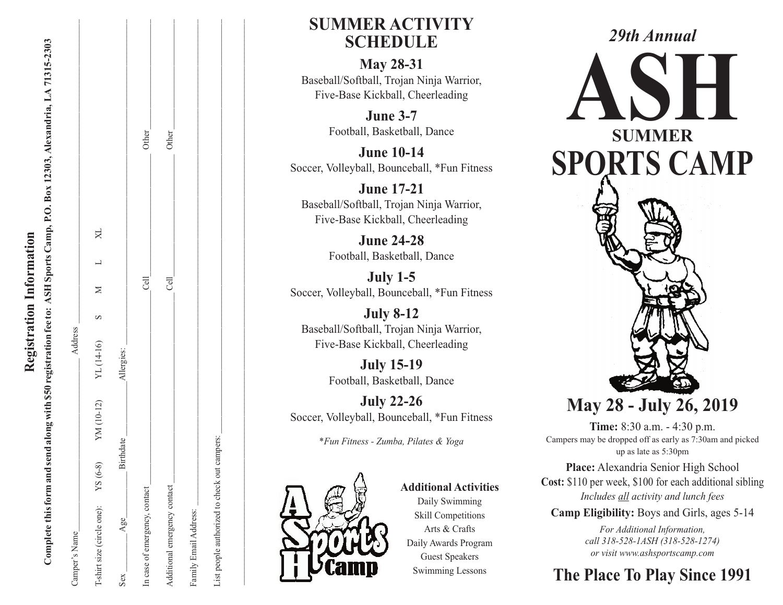| Camper's Name                 |               | Address                     |      |   |                    |
|-------------------------------|---------------|-----------------------------|------|---|--------------------|
| T-shirt size (circle one):    | $YS(6-8)$     | YM (10-12) YL (14-16) S M L |      | X |                    |
| Age<br>Sex                    | irthdate<br>∞ | Allergies:                  |      |   |                    |
| In case of emergency, contact |               |                             | Cell |   | Other_             |
| Additional emergency contact  |               |                             | Cell |   | Other <sub>.</sub> |
| Family Email Address:         |               |                             |      |   |                    |

List people authorized to check out campers:

List people authorized to check out campers:

 $\mathcal{L}_\text{max} = \frac{1}{2} \sum_{i=1}^n \mathcal{L}_\text{max} = \frac{1}{2} \sum_{i=1}^n \mathcal{L}_\text{max} = \frac{1}{2} \sum_{i=1}^n \mathcal{L}_\text{max} = \frac{1}{2} \sum_{i=1}^n \mathcal{L}_\text{max} = \frac{1}{2} \sum_{i=1}^n \mathcal{L}_\text{max} = \frac{1}{2} \sum_{i=1}^n \mathcal{L}_\text{max} = \frac{1}{2} \sum_{i=1}^n \mathcal{L}_\text{max} = \frac{1}{2} \sum_{i=$ 

### **SUMMER ACTIVITY SCHEDULE**

**M a y 2 8 - 3 1** Baseball/Softball, Trojan Ninja Warrior, Five-Base Kickball, Cheerleading

> **J u n e 3 - 7** Football, Basketball, Dance

**J u n e 1 0 - 1 4** Soccer, Volleyball, Bounceball, \*Fun Fitness

**J u n e 1 7 - 2 1** Baseball/Softball, Trojan Ninja Warrior, Five-Base Kickball, Cheerleading

> **J u n e 2 4 - 2 8** Football, Basketball, Dance

**J u l y 1 - 5** Soccer, Volleyball, Bounceball, \*Fun Fitness

**J u l y 8 - 1 2** Baseball/Softball, Trojan Ninja Warrior, Five-Base Kickball, Cheerleading

> **J u l y 1 5 - 1 9** Football, Basketball, Dance

**J u l y 2 2 - 2 6** Soccer, Volleyball, Bounceball, \*Fun Fitness

\*Fun Fitness - Zumba, Pilates & Yoga



Additional Activities Daily Swimming Skill Competitions Arts & Crafts Daily Awards Program Guest Speakers Swimming Lessons



# **M a y 2 8 - J u l y 2 6 , 2 0 1 9**

**Time:** 8:30 a.m. - 4:30 p.m. Campers may be dropped off as early as 7:30am and picked up as late as 5:30pm

Place: Alexandria Senior High School **Cost:** \$110 per week, \$100 for each additional sibling Includes <u>all</u> activity and lunch fees

**Camp Eligibility:** Boys and Girls, ages 5-14

*For Additional Information,* call 318-528-1ASH (318-528-1274) *or* visit www.ashsportscamp.com

### The Place To Play Since 1991